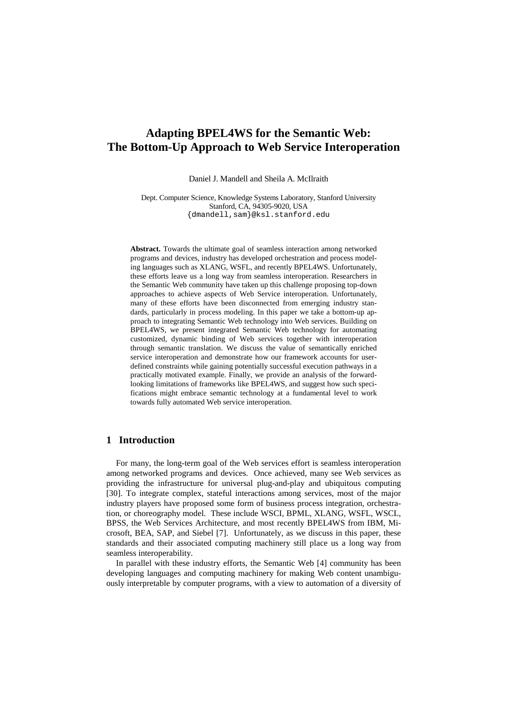# **Adapting BPEL4WS for the Semantic Web: The Bottom-Up Approach to Web Service Interoperation**

Daniel J. Mandell and Sheila A. McIlraith

Dept. Computer Science, Knowledge Systems Laboratory, Stanford University Stanford, CA, 94305-9020, USA {dmandell,sam}@ksl.stanford.edu

**Abstract.** Towards the ultimate goal of seamless interaction among networked programs and devices, industry has developed orchestration and process modeling languages such as XLANG, WSFL, and recently BPEL4WS. Unfortunately, these efforts leave us a long way from seamless interoperation. Researchers in the Semantic Web community have taken up this challenge proposing top-down approaches to achieve aspects of Web Service interoperation. Unfortunately, many of these efforts have been disconnected from emerging industry standards, particularly in process modeling. In this paper we take a bottom-up approach to integrating Semantic Web technology into Web services. Building on BPEL4WS, we present integrated Semantic Web technology for automating customized, dynamic binding of Web services together with interoperation through semantic translation. We discuss the value of semantically enriched service interoperation and demonstrate how our framework accounts for userdefined constraints while gaining potentially successful execution pathways in a practically motivated example. Finally, we provide an analysis of the forwardlooking limitations of frameworks like BPEL4WS, and suggest how such specifications might embrace semantic technology at a fundamental level to work towards fully automated Web service interoperation.

## **1 Introduction**

For many, the long-term goal of the Web services effort is seamless interoperation among networked programs and devices. Once achieved, many see Web services as providing the infrastructure for universal plug-and-play and ubiquitous computing [30]. To integrate complex, stateful interactions among services, most of the major industry players have proposed some form of business process integration, orchestration, or choreography model. These include WSCI, BPML, XLANG, WSFL, WSCL, BPSS, the Web Services Architecture, and most recently BPEL4WS from IBM, Microsoft, BEA, SAP, and Siebel [7]. Unfortunately, as we discuss in this paper, these standards and their associated computing machinery still place us a long way from seamless interoperability.

In parallel with these industry efforts, the Semantic Web [4] community has been developing languages and computing machinery for making Web content unambiguously interpretable by computer programs, with a view to automation of a diversity of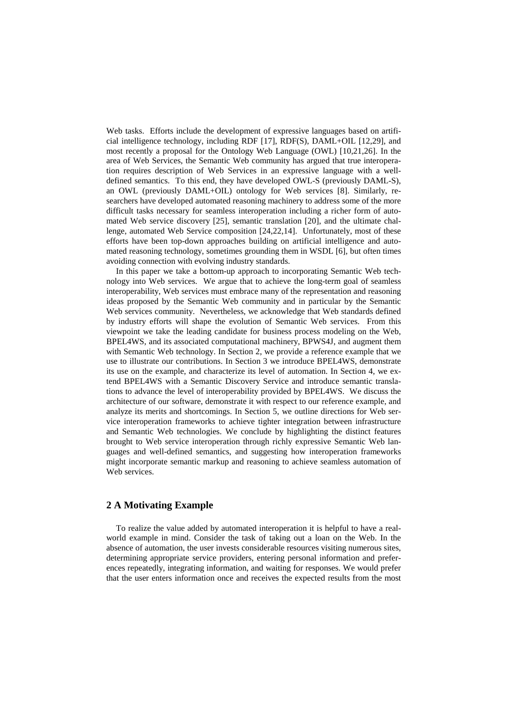Web tasks. Efforts include the development of expressive languages based on artificial intelligence technology, including RDF [17], RDF(S), DAML+OIL [12,29], and most recently a proposal for the Ontology Web Language (OWL) [10,21,26]. In the area of Web Services, the Semantic Web community has argued that true interoperation requires description of Web Services in an expressive language with a welldefined semantics. To this end, they have developed OWL-S (previously DAML-S), an OWL (previously DAML+OIL) ontology for Web services [8]. Similarly, researchers have developed automated reasoning machinery to address some of the more difficult tasks necessary for seamless interoperation including a richer form of automated Web service discovery [25], semantic translation [20], and the ultimate challenge, automated Web Service composition [24,22,14]. Unfortunately, most of these efforts have been top-down approaches building on artificial intelligence and automated reasoning technology, sometimes grounding them in WSDL [6], but often times avoiding connection with evolving industry standards.

In this paper we take a bottom-up approach to incorporating Semantic Web technology into Web services. We argue that to achieve the long-term goal of seamless interoperability, Web services must embrace many of the representation and reasoning ideas proposed by the Semantic Web community and in particular by the Semantic Web services community. Nevertheless, we acknowledge that Web standards defined by industry efforts will shape the evolution of Semantic Web services. From this viewpoint we take the leading candidate for business process modeling on the Web, BPEL4WS, and its associated computational machinery, BPWS4J, and augment them with Semantic Web technology. In Section 2, we provide a reference example that we use to illustrate our contributions. In Section 3 we introduce BPEL4WS, demonstrate its use on the example, and characterize its level of automation. In Section 4, we extend BPEL4WS with a Semantic Discovery Service and introduce semantic translations to advance the level of interoperability provided by BPEL4WS. We discuss the architecture of our software, demonstrate it with respect to our reference example, and analyze its merits and shortcomings. In Section 5, we outline directions for Web service interoperation frameworks to achieve tighter integration between infrastructure and Semantic Web technologies. We conclude by highlighting the distinct features brought to Web service interoperation through richly expressive Semantic Web languages and well-defined semantics, and suggesting how interoperation frameworks might incorporate semantic markup and reasoning to achieve seamless automation of Web services.

## **2 A Motivating Example**

To realize the value added by automated interoperation it is helpful to have a realworld example in mind. Consider the task of taking out a loan on the Web. In the absence of automation, the user invests considerable resources visiting numerous sites, determining appropriate service providers, entering personal information and preferences repeatedly, integrating information, and waiting for responses. We would prefer that the user enters information once and receives the expected results from the most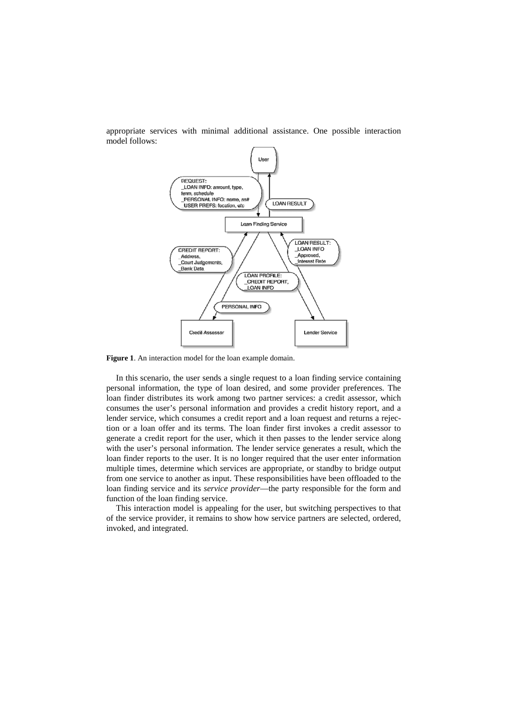

appropriate services with minimal additional assistance. One possible interaction model follows:

**Figure 1**. An interaction model for the loan example domain.

In this scenario, the user sends a single request to a loan finding service containing personal information, the type of loan desired, and some provider preferences. The loan finder distributes its work among two partner services: a credit assessor, which consumes the user's personal information and provides a credit history report, and a lender service, which consumes a credit report and a loan request and returns a rejection or a loan offer and its terms. The loan finder first invokes a credit assessor to generate a credit report for the user, which it then passes to the lender service along with the user's personal information. The lender service generates a result, which the loan finder reports to the user. It is no longer required that the user enter information multiple times, determine which services are appropriate, or standby to bridge output from one service to another as input. These responsibilities have been offloaded to the loan finding service and its *service provider*—the party responsible for the form and function of the loan finding service.

This interaction model is appealing for the user, but switching perspectives to that of the service provider, it remains to show how service partners are selected, ordered, invoked, and integrated.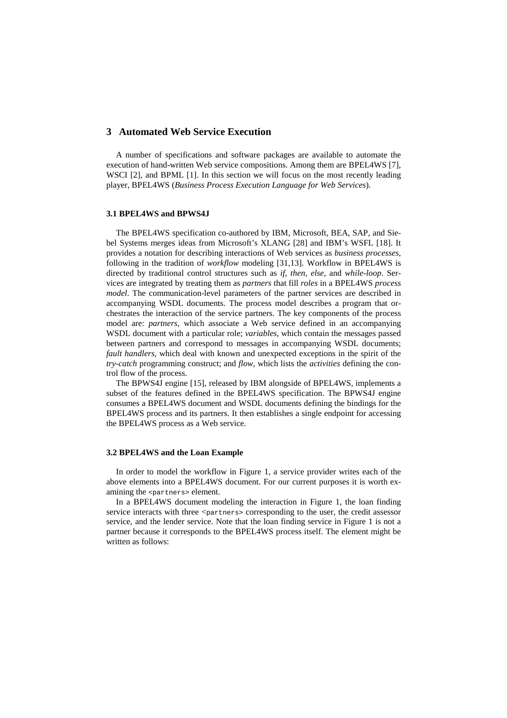## **3 Automated Web Service Execution**

A number of specifications and software packages are available to automate the execution of hand-written Web service compositions. Among them are BPEL4WS [7], WSCI [2], and BPML [1]. In this section we will focus on the most recently leading player, BPEL4WS (*Business Process Execution Language for Web Services*).

## **3.1 BPEL4WS and BPWS4J**

The BPEL4WS specification co-authored by IBM, Microsoft, BEA, SAP, and Siebel Systems merges ideas from Microsoft's XLANG [28] and IBM's WSFL [18]. It provides a notation for describing interactions of Web services as *business processes*, following in the tradition of *workflow* modeling [31,13]. Workflow in BPEL4WS is directed by traditional control structures such as *if, then, else,* and *while-loop*. Services are integrated by treating them as *partners* that fill *roles* in a BPEL4WS *process model*. The communication-level parameters of the partner services are described in accompanying WSDL documents. The process model describes a program that orchestrates the interaction of the service partners. The key components of the process model are: *partners*, which associate a Web service defined in an accompanying WSDL document with a particular role; *variables*, which contain the messages passed between partners and correspond to messages in accompanying WSDL documents; *fault handlers*, which deal with known and unexpected exceptions in the spirit of the *try-catch* programming construct; and *flow*, which lists the *activities* defining the control flow of the process.

The BPWS4J engine [15], released by IBM alongside of BPEL4WS, implements a subset of the features defined in the BPEL4WS specification. The BPWS4J engine consumes a BPEL4WS document and WSDL documents defining the bindings for the BPEL4WS process and its partners. It then establishes a single endpoint for accessing the BPEL4WS process as a Web service.

### **3.2 BPEL4WS and the Loan Example**

In order to model the workflow in Figure 1, a service provider writes each of the above elements into a BPEL4WS document. For our current purposes it is worth examining the <partners> element.

In a BPEL4WS document modeling the interaction in Figure 1, the loan finding service interacts with three  $\leq$  partners> corresponding to the user, the credit assessor service, and the lender service. Note that the loan finding service in Figure 1 is not a partner because it corresponds to the BPEL4WS process itself. The element might be written as follows: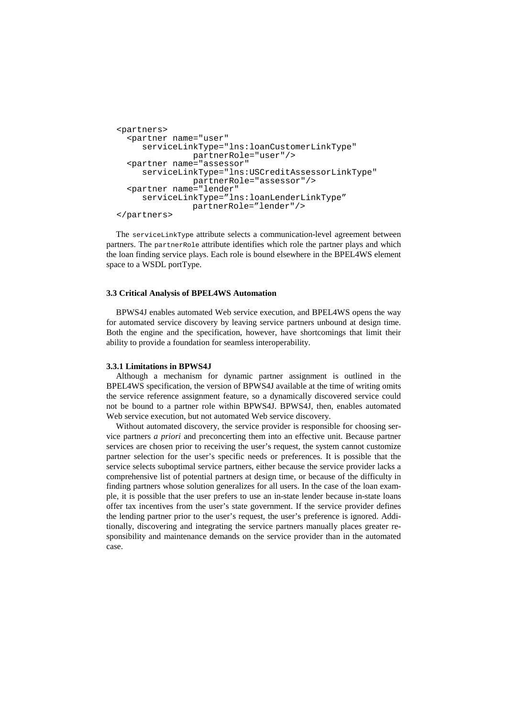```
 <partners> 
   <partner name="user" 
      serviceLinkType="lns:loanCustomerLinkType" 
                 partnerRole="user"/> 
   <partner name="assessor" 
      serviceLinkType="lns:USCreditAssessorLinkType" 
                partnerRole="assessor"/> 
   <partner name="lender" 
      serviceLinkType="lns:loanLenderLinkType" 
                 partnerRole="lender"/> 
 </partners>
```
The serviceLinkType attribute selects a communication-level agreement between partners. The partnerRole attribute identifies which role the partner plays and which the loan finding service plays. Each role is bound elsewhere in the BPEL4WS element space to a WSDL portType.

## **3.3 Critical Analysis of BPEL4WS Automation**

BPWS4J enables automated Web service execution, and BPEL4WS opens the way for automated service discovery by leaving service partners unbound at design time. Both the engine and the specification, however, have shortcomings that limit their ability to provide a foundation for seamless interoperability.

#### **3.3.1 Limitations in BPWS4J**

Although a mechanism for dynamic partner assignment is outlined in the BPEL4WS specification, the version of BPWS4J available at the time of writing omits the service reference assignment feature, so a dynamically discovered service could not be bound to a partner role within BPWS4J. BPWS4J, then, enables automated Web service execution, but not automated Web service discovery.

Without automated discovery, the service provider is responsible for choosing service partners *a priori* and preconcerting them into an effective unit. Because partner services are chosen prior to receiving the user's request, the system cannot customize partner selection for the user's specific needs or preferences. It is possible that the service selects suboptimal service partners, either because the service provider lacks a comprehensive list of potential partners at design time, or because of the difficulty in finding partners whose solution generalizes for all users. In the case of the loan example, it is possible that the user prefers to use an in-state lender because in-state loans offer tax incentives from the user's state government. If the service provider defines the lending partner prior to the user's request, the user's preference is ignored. Additionally, discovering and integrating the service partners manually places greater responsibility and maintenance demands on the service provider than in the automated case.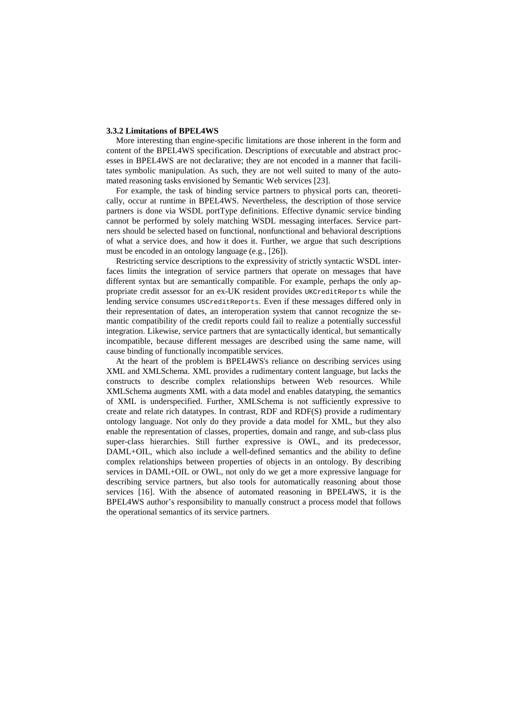#### **3.3.2 Limitations of BPEL4WS**

More interesting than engine-specific limitations are those inherent in the form and content of the BPEL4WS specification. Descriptions of executable and abstract processes in BPEL4WS are not declarative; they are not encoded in a manner that facilitates symbolic manipulation. As such, they are not well suited to many of the automated reasoning tasks envisioned by Semantic Web services [23].

For example, the task of binding service partners to physical ports can, theoretically, occur at runtime in BPEL4WS. Nevertheless, the description of those service partners is done via WSDL portType definitions. Effective dynamic service binding cannot be performed by solely matching WSDL messaging interfaces. Service partners should be selected based on functional, nonfunctional and behavioral descriptions of what a service does, and how it does it. Further, we argue that such descriptions must be encoded in an ontology language (e.g., [26]).

Restricting service descriptions to the expressivity of strictly syntactic WSDL interfaces limits the integration of service partners that operate on messages that have different syntax but are semantically compatible. For example, perhaps the only appropriate credit assessor for an ex-UK resident provides UKCreditReports while the lending service consumes USCreditReports. Even if these messages differed only in their representation of dates, an interoperation system that cannot recognize the semantic compatibility of the credit reports could fail to realize a potentially successful integration. Likewise, service partners that are syntactically identical, but semantically incompatible, because different messages are described using the same name, will cause binding of functionally incompatible services.

At the heart of the problem is BPEL4WS's reliance on describing services using XML and XMLSchema. XML provides a rudimentary content language, but lacks the constructs to describe complex relationships between Web resources. While XMLSchema augments XML with a data model and enables datatyping, the semantics of XML is underspecified. Further, XMLSchema is not sufficiently expressive to create and relate rich datatypes. In contrast, RDF and RDF(S) provide a rudimentary ontology language. Not only do they provide a data model for XML, but they also enable the representation of classes, properties, domain and range, and sub-class plus super-class hierarchies. Still further expressive is OWL, and its predecessor, DAML+OIL, which also include a well-defined semantics and the ability to define complex relationships between properties of objects in an ontology. By describing services in DAML+OIL or OWL, not only do we get a more expressive language for describing service partners, but also tools for automatically reasoning about those services [16]. With the absence of automated reasoning in BPEL4WS, it is the BPEL4WS author's responsibility to manually construct a process model that follows the operational semantics of its service partners.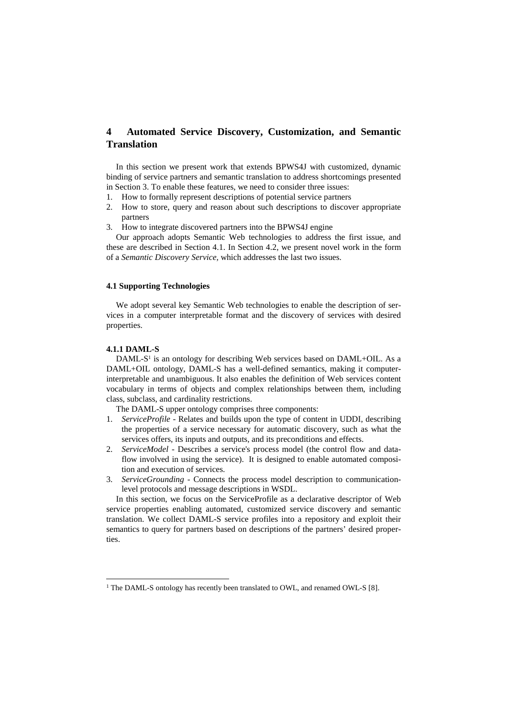## **4 Automated Service Discovery, Customization, and Semantic Translation**

In this section we present work that extends BPWS4J with customized, dynamic binding of service partners and semantic translation to address shortcomings presented in Section 3. To enable these features, we need to consider three issues:

- 1. How to formally represent descriptions of potential service partners
- 2. How to store, query and reason about such descriptions to discover appropriate partners
- 3. How to integrate discovered partners into the BPWS4J engine

Our approach adopts Semantic Web technologies to address the first issue, and these are described in Section 4.1. In Section 4.2, we present novel work in the form of a *Semantic Discovery Service,* which addresses the last two issues.

#### **4.1 Supporting Technologies**

We adopt several key Semantic Web technologies to enable the description of services in a computer interpretable format and the discovery of services with desired properties.

#### **4.1.1 DAML-S**

l

DAML-S<sup>1</sup> is an ontology for describing Web services based on DAML+OIL. As a DAML+OIL ontology, DAML-S has a well-defined semantics, making it computerinterpretable and unambiguous. It also enables the definition of Web services content vocabulary in terms of objects and complex relationships between them, including class, subclass, and cardinality restrictions.

The DAML-S upper ontology comprises three components:

- 1. *ServiceProfile* Relates and builds upon the type of content in UDDI, describing the properties of a service necessary for automatic discovery, such as what the services offers, its inputs and outputs, and its preconditions and effects.
- 2. *ServiceModel* Describes a service's process model (the control flow and dataflow involved in using the service). It is designed to enable automated composition and execution of services.
- 3. *ServiceGrounding* Connects the process model description to communicationlevel protocols and message descriptions in WSDL.

In this section, we focus on the ServiceProfile as a declarative descriptor of Web service properties enabling automated, customized service discovery and semantic translation. We collect DAML-S service profiles into a repository and exploit their semantics to query for partners based on descriptions of the partners' desired properties.

<sup>&</sup>lt;sup>1</sup> The DAML-S ontology has recently been translated to OWL, and renamed OWL-S [8].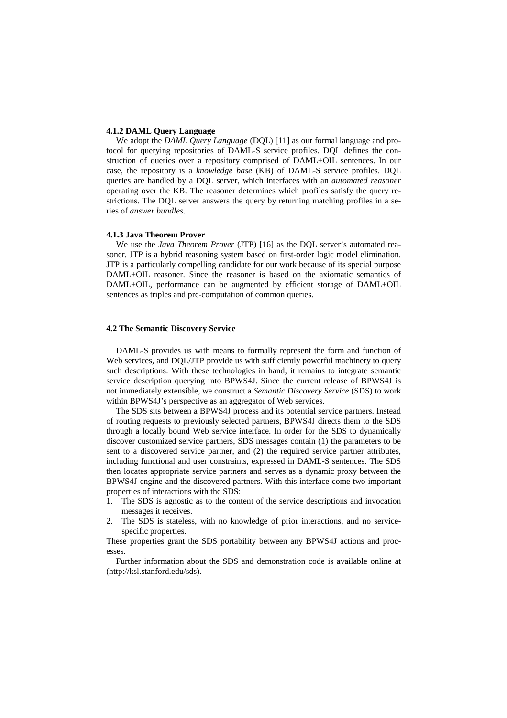#### **4.1.2 DAML Query Language**

We adopt the *DAML Query Language* (DQL) [11] as our formal language and protocol for querying repositories of DAML-S service profiles. DQL defines the construction of queries over a repository comprised of DAML+OIL sentences. In our case, the repository is a *knowledge base* (KB) of DAML-S service profiles. DQL queries are handled by a DQL server, which interfaces with an *automated reasoner* operating over the KB. The reasoner determines which profiles satisfy the query restrictions. The DQL server answers the query by returning matching profiles in a series of *answer bundles*.

#### **4.1.3 Java Theorem Prover**

We use the *Java Theorem Prover* (JTP) [16] as the DQL server's automated reasoner. JTP is a hybrid reasoning system based on first-order logic model elimination. JTP is a particularly compelling candidate for our work because of its special purpose DAML+OIL reasoner. Since the reasoner is based on the axiomatic semantics of DAML+OIL, performance can be augmented by efficient storage of DAML+OIL sentences as triples and pre-computation of common queries.

#### **4.2 The Semantic Discovery Service**

DAML-S provides us with means to formally represent the form and function of Web services, and DQL/JTP provide us with sufficiently powerful machinery to query such descriptions. With these technologies in hand, it remains to integrate semantic service description querying into BPWS4J. Since the current release of BPWS4J is not immediately extensible, we construct a *Semantic Discovery Service* (SDS) to work within BPWS4J's perspective as an aggregator of Web services.

The SDS sits between a BPWS4J process and its potential service partners. Instead of routing requests to previously selected partners, BPWS4J directs them to the SDS through a locally bound Web service interface. In order for the SDS to dynamically discover customized service partners, SDS messages contain (1) the parameters to be sent to a discovered service partner, and (2) the required service partner attributes, including functional and user constraints, expressed in DAML-S sentences. The SDS then locates appropriate service partners and serves as a dynamic proxy between the BPWS4J engine and the discovered partners. With this interface come two important properties of interactions with the SDS:

- 1. The SDS is agnostic as to the content of the service descriptions and invocation messages it receives.
- 2. The SDS is stateless, with no knowledge of prior interactions, and no servicespecific properties.

These properties grant the SDS portability between any BPWS4J actions and processes.

Further information about the SDS and demonstration code is available online at (http://ksl.stanford.edu/sds).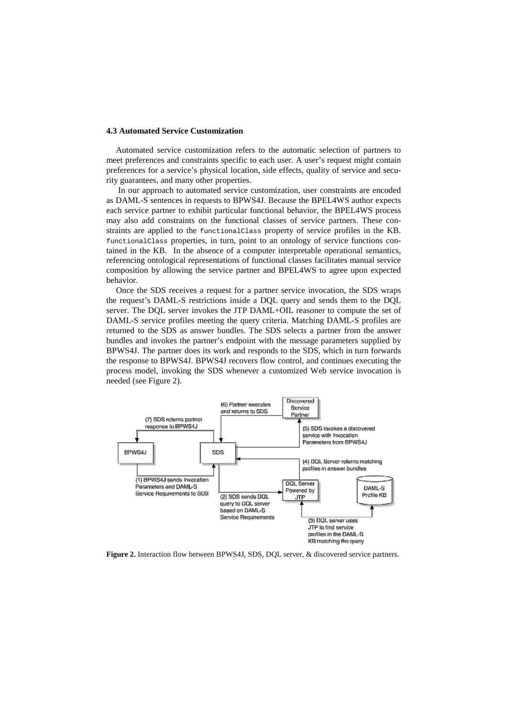#### **4.3 Automated Service Customization**

Automated service customization refers to the automatic selection of partners to meet preferences and constraints specific to each user. A user's request might contain preferences for a service's physical location, side effects, quality of service and security guarantees, and many other properties.

 In our approach to automated service customization, user constraints are encoded as DAML-S sentences in requests to BPWS4J. Because the BPEL4WS author expects each service partner to exhibit particular functional behavior, the BPEL4WS process may also add constraints on the functional classes of service partners. These constraints are applied to the functionalClass property of service profiles in the KB. functionalClass properties, in turn, point to an ontology of service functions contained in the KB. In the absence of a computer interpretable operational semantics, referencing ontological representations of functional classes facilitates manual service composition by allowing the service partner and BPEL4WS to agree upon expected behavior.

Once the SDS receives a request for a partner service invocation, the SDS wraps the request's DAML-S restrictions inside a DQL query and sends them to the DQL server. The DQL server invokes the JTP DAML+OIL reasoner to compute the set of DAML-S service profiles meeting the query criteria. Matching DAML-S profiles are returned to the SDS as answer bundles. The SDS selects a partner from the answer bundles and invokes the partner's endpoint with the message parameters supplied by BPWS4J. The partner does its work and responds to the SDS, which in turn forwards the response to BPWS4J. BPWS4J recovers flow control, and continues executing the process model, invoking the SDS whenever a customized Web service invocation is needed (see Figure 2).



**Figure 2.** Interaction flow between BPWS4J, SDS, DQL server, & discovered service partners.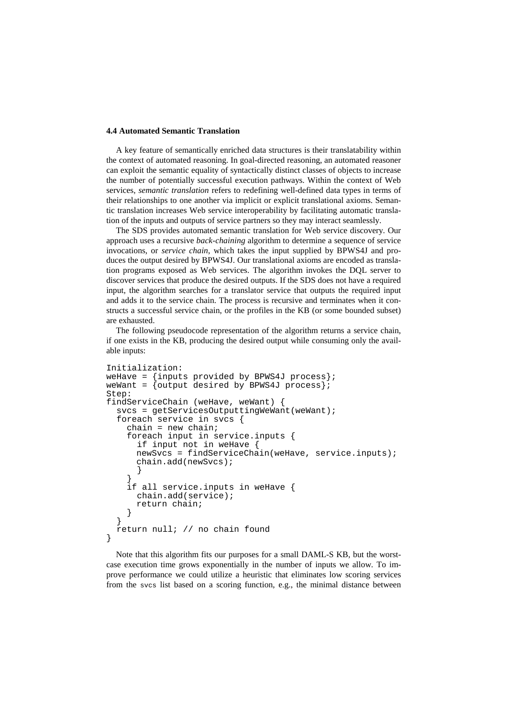#### **4.4 Automated Semantic Translation**

A key feature of semantically enriched data structures is their translatability within the context of automated reasoning. In goal-directed reasoning, an automated reasoner can exploit the semantic equality of syntactically distinct classes of objects to increase the number of potentially successful execution pathways. Within the context of Web services, *semantic translation* refers to redefining well-defined data types in terms of their relationships to one another via implicit or explicit translational axioms. Semantic translation increases Web service interoperability by facilitating automatic translation of the inputs and outputs of service partners so they may interact seamlessly.

The SDS provides automated semantic translation for Web service discovery. Our approach uses a recursive *back-chaining* algorithm to determine a sequence of service invocations, or *service chain*, which takes the input supplied by BPWS4J and produces the output desired by BPWS4J. Our translational axioms are encoded as translation programs exposed as Web services. The algorithm invokes the DQL server to discover services that produce the desired outputs. If the SDS does not have a required input, the algorithm searches for a translator service that outputs the required input and adds it to the service chain. The process is recursive and terminates when it constructs a successful service chain, or the profiles in the KB (or some bounded subset) are exhausted.

The following pseudocode representation of the algorithm returns a service chain, if one exists in the KB, producing the desired output while consuming only the available inputs:

```
Initialization: 
weHave = \{inputs provided by BPWS4J process\};
weWant = \{\text{output desired by BPWS4J process}\}\)Step: 
findServiceChain (weHave, weWant) { 
   svcs = getServicesOutputtingWeWant(weWant); 
   foreach service in svcs { 
     chain = new chain; 
     foreach input in service.inputs { 
       if input not in weHave { 
       newSvcs = findServiceChain(weHave, service.inputs); 
       chain.add(newSvcs); 
 } 
 } 
     if all service.inputs in weHave { 
       chain.add(service); 
       return chain; 
 } 
   } 
   return null; // no chain found 
}
```
Note that this algorithm fits our purposes for a small DAML-S KB, but the worstcase execution time grows exponentially in the number of inputs we allow. To improve performance we could utilize a heuristic that eliminates low scoring services from the svcs list based on a scoring function, e.g., the minimal distance between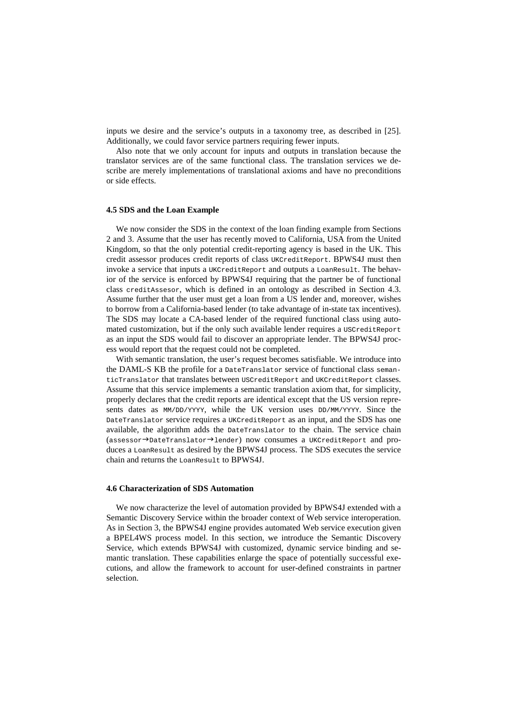inputs we desire and the service's outputs in a taxonomy tree, as described in [25]. Additionally, we could favor service partners requiring fewer inputs.

Also note that we only account for inputs and outputs in translation because the translator services are of the same functional class. The translation services we describe are merely implementations of translational axioms and have no preconditions or side effects.

#### **4.5 SDS and the Loan Example**

We now consider the SDS in the context of the loan finding example from Sections 2 and 3. Assume that the user has recently moved to California, USA from the United Kingdom, so that the only potential credit-reporting agency is based in the UK. This credit assessor produces credit reports of class UKCreditReport. BPWS4J must then invoke a service that inputs a UKCreditReport and outputs a LoanResult. The behavior of the service is enforced by BPWS4J requiring that the partner be of functional class creditAssesor, which is defined in an ontology as described in Section 4.3. Assume further that the user must get a loan from a US lender and, moreover, wishes to borrow from a California-based lender (to take advantage of in-state tax incentives). The SDS may locate a CA-based lender of the required functional class using automated customization, but if the only such available lender requires a USCreditReport as an input the SDS would fail to discover an appropriate lender. The BPWS4J process would report that the request could not be completed.

With semantic translation, the user's request becomes satisfiable. We introduce into the DAML-S KB the profile for a DateTranslator service of functional class semanticTranslator that translates between USCreditReport and UKCreditReport classes. Assume that this service implements a semantic translation axiom that, for simplicity, properly declares that the credit reports are identical except that the US version represents dates as MM/DD/YYYY, while the UK version uses DD/MM/YYYY. Since the DateTranslator service requires a UKCreditReport as an input, and the SDS has one available, the algorithm adds the DateTranslator to the chain. The service chain  $(assessor \rightarrow$ DateTranslator $\rightarrow$ lender) now consumes a UKCreditReport and produces a LoanResult as desired by the BPWS4J process. The SDS executes the service chain and returns the LoanResult to BPWS4J.

#### **4.6 Characterization of SDS Automation**

We now characterize the level of automation provided by BPWS4J extended with a Semantic Discovery Service within the broader context of Web service interoperation. As in Section 3, the BPWS4J engine provides automated Web service execution given a BPEL4WS process model. In this section, we introduce the Semantic Discovery Service, which extends BPWS4J with customized, dynamic service binding and semantic translation. These capabilities enlarge the space of potentially successful executions, and allow the framework to account for user-defined constraints in partner selection.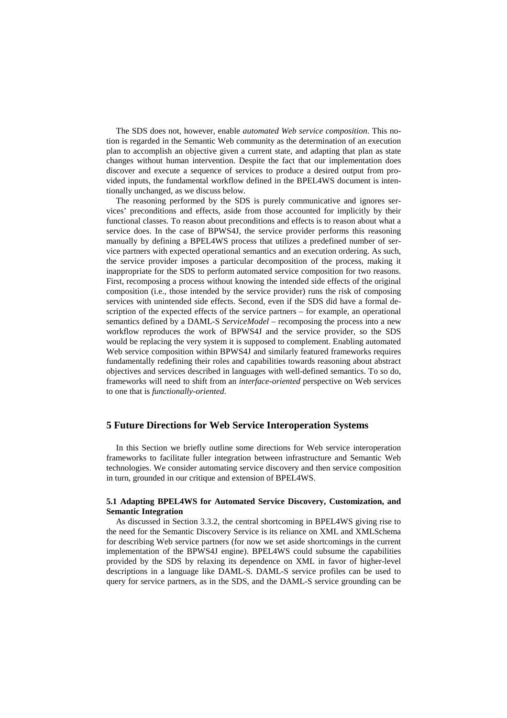The SDS does not, however, enable *automated Web service composition*. This notion is regarded in the Semantic Web community as the determination of an execution plan to accomplish an objective given a current state, and adapting that plan as state changes without human intervention. Despite the fact that our implementation does discover and execute a sequence of services to produce a desired output from provided inputs, the fundamental workflow defined in the BPEL4WS document is intentionally unchanged, as we discuss below.

The reasoning performed by the SDS is purely communicative and ignores services' preconditions and effects, aside from those accounted for implicitly by their functional classes. To reason about preconditions and effects is to reason about what a service does. In the case of BPWS4J, the service provider performs this reasoning manually by defining a BPEL4WS process that utilizes a predefined number of service partners with expected operational semantics and an execution ordering. As such, the service provider imposes a particular decomposition of the process, making it inappropriate for the SDS to perform automated service composition for two reasons. First, recomposing a process without knowing the intended side effects of the original composition (i.e., those intended by the service provider) runs the risk of composing services with unintended side effects. Second, even if the SDS did have a formal description of the expected effects of the service partners – for example, an operational semantics defined by a DAML-S *ServiceModel* – recomposing the process into a new workflow reproduces the work of BPWS4J and the service provider, so the SDS would be replacing the very system it is supposed to complement. Enabling automated Web service composition within BPWS4J and similarly featured frameworks requires fundamentally redefining their roles and capabilities towards reasoning about abstract objectives and services described in languages with well-defined semantics. To so do, frameworks will need to shift from an *interface-oriented* perspective on Web services to one that is *functionally-oriented*.

## **5 Future Directions for Web Service Interoperation Systems**

In this Section we briefly outline some directions for Web service interoperation frameworks to facilitate fuller integration between infrastructure and Semantic Web technologies. We consider automating service discovery and then service composition in turn, grounded in our critique and extension of BPEL4WS.

## **5.1 Adapting BPEL4WS for Automated Service Discovery, Customization, and Semantic Integration**

As discussed in Section 3.3.2, the central shortcoming in BPEL4WS giving rise to the need for the Semantic Discovery Service is its reliance on XML and XMLSchema for describing Web service partners (for now we set aside shortcomings in the current implementation of the BPWS4J engine). BPEL4WS could subsume the capabilities provided by the SDS by relaxing its dependence on XML in favor of higher-level descriptions in a language like DAML-S. DAML-S service profiles can be used to query for service partners, as in the SDS, and the DAML-S service grounding can be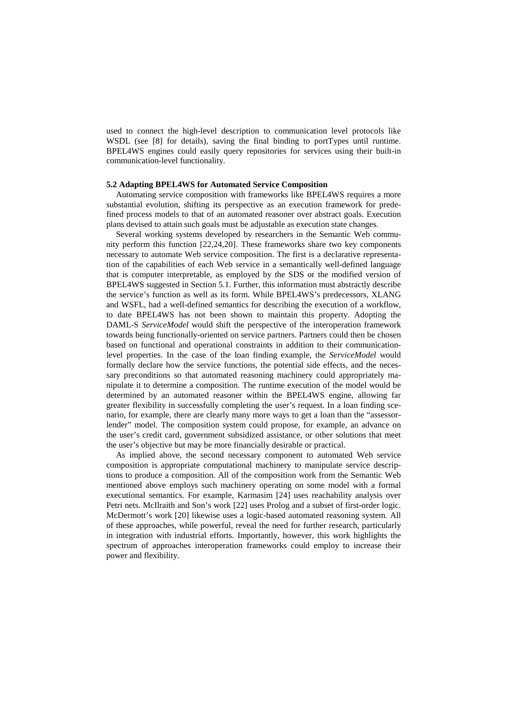used to connect the high-level description to communication level protocols like WSDL (see [8] for details), saving the final binding to portTypes until runtime. BPEL4WS engines could easily query repositories for services using their built-in communication-level functionality.

#### **5.2 Adapting BPEL4WS for Automated Service Composition**

Automating service composition with frameworks like BPEL4WS requires a more substantial evolution, shifting its perspective as an execution framework for predefined process models to that of an automated reasoner over abstract goals. Execution plans devised to attain such goals must be adjustable as execution state changes.

Several working systems developed by researchers in the Semantic Web community perform this function [22,24,20]. These frameworks share two key components necessary to automate Web service composition. The first is a declarative representation of the capabilities of each Web service in a semantically well-defined language that is computer interpretable, as employed by the SDS or the modified version of BPEL4WS suggested in Section 5.1. Further, this information must abstractly describe the service's function as well as its form. While BPEL4WS's predecessors, XLANG and WSFL, had a well-defined semantics for describing the execution of a workflow, to date BPEL4WS has not been shown to maintain this property. Adopting the DAML-S *ServiceModel* would shift the perspective of the interoperation framework towards being functionally-oriented on service partners. Partners could then be chosen based on functional and operational constraints in addition to their communicationlevel properties. In the case of the loan finding example, the *ServiceModel* would formally declare how the service functions, the potential side effects, and the necessary preconditions so that automated reasoning machinery could appropriately manipulate it to determine a composition. The runtime execution of the model would be determined by an automated reasoner within the BPEL4WS engine, allowing far greater flexibility in successfully completing the user's request. In a loan finding scenario, for example, there are clearly many more ways to get a loan than the "assessorlender" model. The composition system could propose, for example, an advance on the user's credit card, government subsidized assistance, or other solutions that meet the user's objective but may be more financially desirable or practical.

As implied above, the second necessary component to automated Web service composition is appropriate computational machinery to manipulate service descriptions to produce a composition. All of the composition work from the Semantic Web mentioned above employs such machinery operating on some model with a formal executional semantics. For example, Karmasim [24] uses reachability analysis over Petri nets. McIlraith and Son's work [22] uses Prolog and a subset of first-order logic. McDermott's work [20] likewise uses a logic-based automated reasoning system. All of these approaches, while powerful, reveal the need for further research, particularly in integration with industrial efforts. Importantly, however, this work highlights the spectrum of approaches interoperation frameworks could employ to increase their power and flexibility.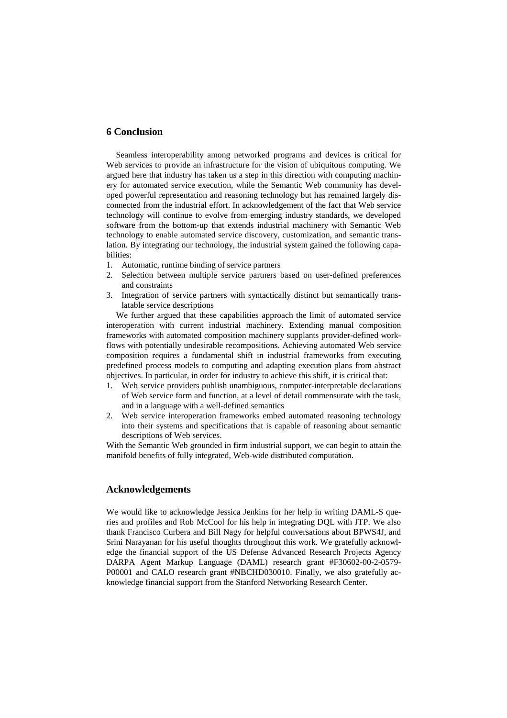## **6 Conclusion**

Seamless interoperability among networked programs and devices is critical for Web services to provide an infrastructure for the vision of ubiquitous computing. We argued here that industry has taken us a step in this direction with computing machinery for automated service execution, while the Semantic Web community has developed powerful representation and reasoning technology but has remained largely disconnected from the industrial effort. In acknowledgement of the fact that Web service technology will continue to evolve from emerging industry standards, we developed software from the bottom-up that extends industrial machinery with Semantic Web technology to enable automated service discovery, customization, and semantic translation. By integrating our technology, the industrial system gained the following capabilities:

- 1. Automatic, runtime binding of service partners
- 2. Selection between multiple service partners based on user-defined preferences and constraints
- 3. Integration of service partners with syntactically distinct but semantically translatable service descriptions

We further argued that these capabilities approach the limit of automated service interoperation with current industrial machinery. Extending manual composition frameworks with automated composition machinery supplants provider-defined workflows with potentially undesirable recompositions. Achieving automated Web service composition requires a fundamental shift in industrial frameworks from executing predefined process models to computing and adapting execution plans from abstract objectives. In particular, in order for industry to achieve this shift, it is critical that:

- 1. Web service providers publish unambiguous, computer-interpretable declarations of Web service form and function, at a level of detail commensurate with the task, and in a language with a well-defined semantics
- 2. Web service interoperation frameworks embed automated reasoning technology into their systems and specifications that is capable of reasoning about semantic descriptions of Web services.

With the Semantic Web grounded in firm industrial support, we can begin to attain the manifold benefits of fully integrated, Web-wide distributed computation.

## **Acknowledgements**

We would like to acknowledge Jessica Jenkins for her help in writing DAML-S queries and profiles and Rob McCool for his help in integrating DQL with JTP. We also thank Francisco Curbera and Bill Nagy for helpful conversations about BPWS4J, and Srini Narayanan for his useful thoughts throughout this work. We gratefully acknowledge the financial support of the US Defense Advanced Research Projects Agency DARPA Agent Markup Language (DAML) research grant #F30602-00-2-0579- P00001 and CALO research grant #NBCHD030010. Finally, we also gratefully acknowledge financial support from the Stanford Networking Research Center.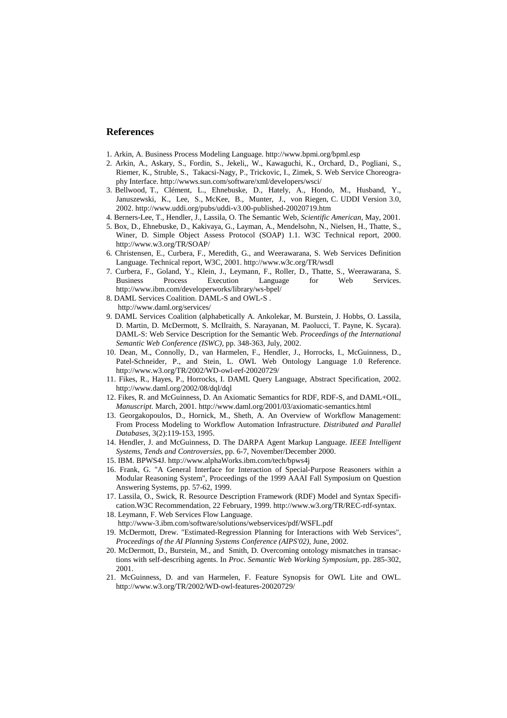## **References**

- 1. Arkin, A. Business Process Modeling Language. http://www.bpmi.org/bpml.esp
- 2. Arkin, A., Askary, S., Fordin, S., Jekeli,, W., Kawaguchi, K., Orchard, D., Pogliani, S., Riemer, K., Struble, S., Takacsi-Nagy, P., Trickovic, I., Zimek, S. Web Service Choreography Interface. http://wwws.sun.com/software/xml/developers/wsci/
- 3. Bellwood, T., Clément, L., Ehnebuske, D., Hately, A., Hondo, M., Husband, Y., Januszewski, K., Lee, S., McKee, B., Munter, J., von Riegen, C. UDDI Version 3.0, 2002. http://www.uddi.org/pubs/uddi-v3.00-published-20020719.htm
- 4. Berners-Lee, T., Hendler, J., Lassila, O. The Semantic Web, *Scientific American*, May, 2001.
- 5. Box, D., Ehnebuske, D., Kakivaya, G., Layman, A., Mendelsohn, N., Nielsen, H., Thatte, S., Winer, D. Simple Object Assess Protocol (SOAP) 1.1. W3C Technical report, 2000. http://www.w3.org/TR/SOAP/
- 6. Christensen, E., Curbera, F., Meredith, G., and Weerawarana, S. Web Services Definition Language. Technical report, W3C, 2001. http://www.w3c.org/TR/wsdl
- 7. Curbera, F., Goland, Y., Klein, J., Leymann, F., Roller, D., Thatte, S., Weerawarana, S. Business Process Execution Language for Web Services. http://www.ibm.com/developerworks/library/ws-bpel/
- 8. DAML Services Coalition. DAML-S and OWL-S . http://www.daml.org/services/
- 9. DAML Services Coalition (alphabetically A. Ankolekar, M. Burstein, J. Hobbs, O. Lassila, D. Martin, D. McDermott, S. McIlraith, S. Narayanan, M. Paolucci, T. Payne, K. Sycara). DAML-S: Web Service Description for the Semantic Web. *Proceedings of the International Semantic Web Conference (ISWC),* pp. 348-363, July, 2002.
- 10. Dean, M., Connolly, D., van Harmelen, F., Hendler, J., Horrocks, I., McGuinness, D., Patel-Schneider, P., and Stein, L. OWL Web Ontology Language 1.0 Reference. http://www.w3.org/TR/2002/WD-owl-ref-20020729/
- 11. Fikes, R., Hayes, P., Horrocks, I. DAML Query Language, Abstract Specification, 2002. http://www.daml.org/2002/08/dql/dql
- 12. Fikes, R. and McGuinness, D. An Axiomatic Semantics for RDF, RDF-S, and DAML+OIL, *Manuscript*. March, 2001. http://www.daml.org/2001/03/axiomatic-semantics.html
- 13. Georgakopoulos, D., Hornick, M., Sheth, A. An Overview of Workflow Management: From Process Modeling to Workflow Automation Infrastructure. *Distributed and Parallel Databases*, 3(2):119-153, 1995.
- 14. Hendler, J. and McGuinness, D. The DARPA Agent Markup Language. *IEEE Intelligent Systems, Tends and Controversies*, pp. 6-7, November/December 2000.
- 15. IBM. BPWS4J. http://www.alphaWorks.ibm.com/tech/bpws4j
- 16. Frank, G. "A General Interface for Interaction of Special-Purpose Reasoners within a Modular Reasoning System", Proceedings of the 1999 AAAI Fall Symposium on Question Answering Systems, pp. 57-62, 1999.
- 17. Lassila, O., Swick, R. Resource Description Framework (RDF) Model and Syntax Specification.W3C Recommendation, 22 February, 1999. http://www.w3.org/TR/REC-rdf-syntax.
- 18. Leymann, F. Web Services Flow Language.
	- http://www-3.ibm.com/software/solutions/webservices/pdf/WSFL.pdf
- 19. McDermott, Drew. "Estimated-Regression Planning for Interactions with Web Services", *Proceedings of the AI Planning Systems Conference (AIPS'02)*, June, 2002.
- 20. McDermott, D., Burstein, M., and Smith, D. Overcoming ontology mismatches in transactions with self-describing agents. In *Proc. Semantic Web Working Symposium*, pp. 285-302, 2001.
- 21. McGuinness, D. and van Harmelen, F. Feature Synopsis for OWL Lite and OWL. http://www.w3.org/TR/2002/WD-owl-features-20020729/